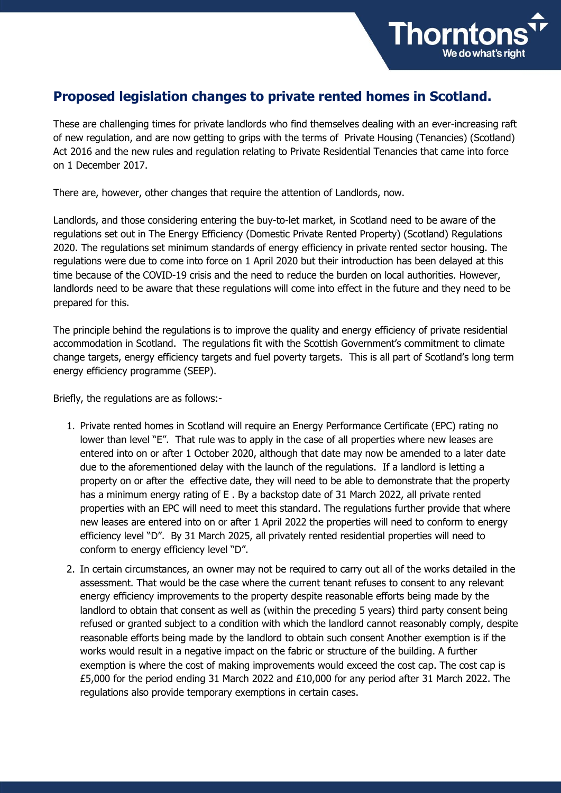

## **Proposed legislation changes to private rented homes in Scotland.**

These are challenging times for private landlords who find themselves dealing with an ever-increasing raft of new regulation, and are now getting to grips with the terms of Private Housing (Tenancies) (Scotland) Act 2016 and the new rules and regulation relating to Private Residential Tenancies that came into force on 1 December 2017.

There are, however, other changes that require the attention of Landlords, now.

Landlords, and those considering entering the buy-to-let market, in Scotland need to be aware of the regulations set out in The Energy Efficiency (Domestic Private Rented Property) (Scotland) Regulations 2020. The regulations set minimum standards of energy efficiency in private rented sector housing. The regulations were due to come into force on 1 April 2020 but their introduction has been delayed at this time because of the COVID-19 crisis and the need to reduce the burden on local authorities. However, landlords need to be aware that these regulations will come into effect in the future and they need to be prepared for this.

The principle behind the regulations is to improve the quality and energy efficiency of private residential accommodation in Scotland. The regulations fit with the Scottish Government's commitment to climate change targets, energy efficiency targets and fuel poverty targets. This is all part of Scotland's long term energy efficiency programme (SEEP).

Briefly, the regulations are as follows:-

- 1. Private rented homes in Scotland will require an Energy Performance Certificate (EPC) rating no lower than level "E". That rule was to apply in the case of all properties where new leases are entered into on or after 1 October 2020, although that date may now be amended to a later date due to the aforementioned delay with the launch of the regulations. If a landlord is letting a property on or after the effective date, they will need to be able to demonstrate that the property has a minimum energy rating of E . By a backstop date of 31 March 2022, all private rented properties with an EPC will need to meet this standard. The regulations further provide that where new leases are entered into on or after 1 April 2022 the properties will need to conform to energy efficiency level "D". By 31 March 2025, all privately rented residential properties will need to conform to energy efficiency level "D".
- 2. In certain circumstances, an owner may not be required to carry out all of the works detailed in the assessment. That would be the case where the current tenant refuses to consent to any relevant energy efficiency improvements to the property despite reasonable efforts being made by the landlord to obtain that consent as well as (within the preceding 5 years) third party consent being refused or granted subject to a condition with which the landlord cannot reasonably comply, despite reasonable efforts being made by the landlord to obtain such consent Another exemption is if the works would result in a negative impact on the fabric or structure of the building. A further exemption is where the cost of making improvements would exceed the cost cap. The cost cap is £5,000 for the period ending 31 March 2022 and £10,000 for any period after 31 March 2022. The regulations also provide temporary exemptions in certain cases.